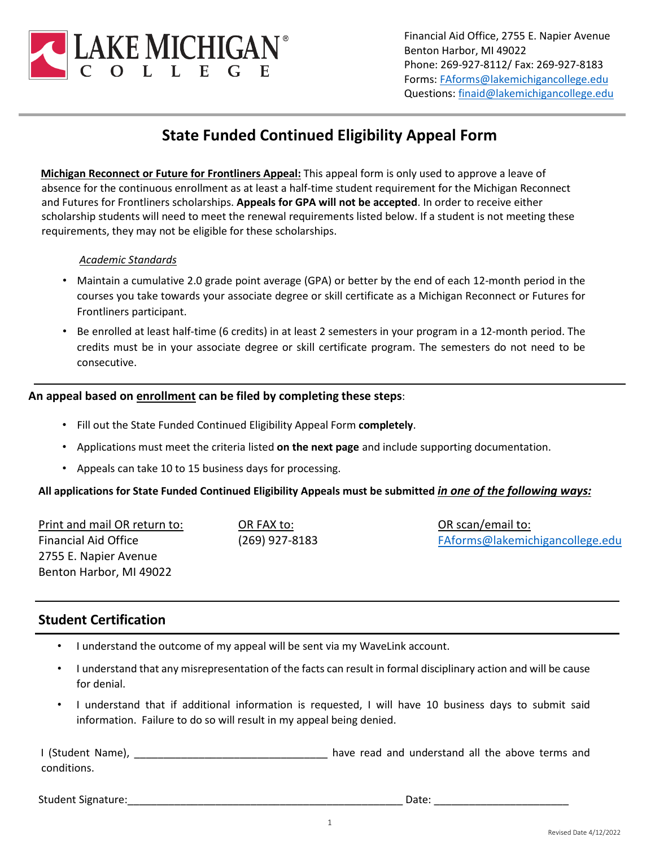

Financial Aid Office, 2755 E. Napier Avenue Benton Harbor, MI 49022 Phone: 269-927-8112/ Fax: 269-927-8183 Forms: [FAforms@lakemichigancollege.edu](mailto:FAforms@lakemichigancollege.edu) Questions: [finaid@lakemichigancollege.edu](mailto:finaid@lakemichigancollege.edu)

## **State Funded Continued Eligibility Appeal Form**

**Michigan Reconnect or Future for Frontliners Appeal:** This appeal form is only used to approve a leave of absence for the continuous enrollment as at least a half-time student requirement for the Michigan Reconnect and Futures for Frontliners scholarships. **Appeals for GPA will not be accepted**. In order to receive either scholarship students will need to meet the renewal requirements listed below. If a student is not meeting these requirements, they may not be eligible for these scholarships.

#### *Academic Standards*

- Maintain a cumulative 2.0 grade point average (GPA) or better by the end of each 12-month period in the courses you take towards your associate degree or skill certificate as a Michigan Reconnect or Futures for Frontliners participant.
- Be enrolled at least half-time (6 credits) in at least 2 semesters in your program in a 12-month period. The credits must be in your associate degree or skill certificate program. The semesters do not need to be consecutive.

#### **An appeal based on enrollment can be filed by completing these steps**:

- Fill out the State Funded Continued Eligibility Appeal Form **completely**.
- Applications must meet the criteria listed **on the next page** and include supporting documentation.
- Appeals can take 10 to 15 business days for processing.

#### **All applications for State Funded Continued Eligibility Appeals must be submitted** *in one of the following ways:*

Print and mail OR return to: Financial Aid Office 2755 E. Napier Avenue Benton Harbor, MI 49022

OR FAX to: (269) 927-8183

OR scan/email to: [FAforms@lakemichigancollege.edu](mailto:FAforms@lakemichigancollege.edu)

### **Student Certification**

- I understand the outcome of my appeal will be sent via my WaveLink account.
- I understand that any misrepresentation of the facts can result in formal disciplinary action and will be cause for denial.
- I understand that if additional information is requested, I will have 10 business days to submit said information. Failure to do so will result in my appeal being denied.

I (Student Name), \_\_\_\_\_\_\_\_\_\_\_\_\_\_\_\_\_\_\_\_\_\_\_\_\_\_\_\_\_\_\_\_\_\_ have read and understand all the above terms and conditions.

Student Signature:\_\_\_\_\_\_\_\_\_\_\_\_\_\_\_\_\_\_\_\_\_\_\_\_\_\_\_\_\_\_\_\_\_\_\_\_\_\_\_\_\_\_\_\_\_\_\_ Date: \_\_\_\_\_\_\_\_\_\_\_\_\_\_\_\_\_\_\_\_\_\_\_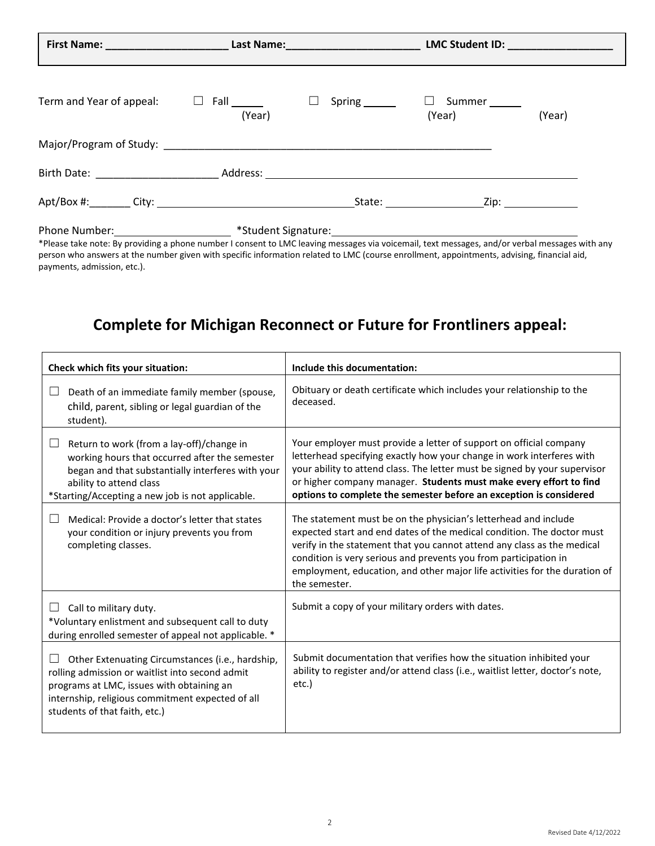| Term and Year of appeal:                                                                                                                                                                                                          | (Year) | Spring ______ | Summer<br>$\Box$<br>(Year) | (Year) |
|-----------------------------------------------------------------------------------------------------------------------------------------------------------------------------------------------------------------------------------|--------|---------------|----------------------------|--------|
|                                                                                                                                                                                                                                   |        |               |                            |        |
|                                                                                                                                                                                                                                   |        |               |                            |        |
|                                                                                                                                                                                                                                   |        |               |                            |        |
| $\mathbb{R}^d$ . The set of the set of the set of the set of the set of the set of the set of the set of the set of the set of the set of the set of the set of the set of the set of the set of the set of the set of the set of |        |               |                            |        |

Phone Number: <u>moviding a phone number I</u> student Signature: student in voicemail, text messages, and/or verbal messages with any<br>\*Please take note: By providing a phone number I consent to LMC leaving messages via voicema person who answers at the number given with specific information related to LMC (course enrollment, appointments, advising, financial aid, payments, admission, etc.).

# **Complete for Michigan Reconnect or Future for Frontliners appeal:**

| Check which fits your situation:                                                                                                                                                                                                      | Include this documentation:                                                                                                                                                                                                                                                                                                                                                             |  |
|---------------------------------------------------------------------------------------------------------------------------------------------------------------------------------------------------------------------------------------|-----------------------------------------------------------------------------------------------------------------------------------------------------------------------------------------------------------------------------------------------------------------------------------------------------------------------------------------------------------------------------------------|--|
| Death of an immediate family member (spouse,<br>child, parent, sibling or legal guardian of the<br>student).                                                                                                                          | Obituary or death certificate which includes your relationship to the<br>deceased.                                                                                                                                                                                                                                                                                                      |  |
| Return to work (from a lay-off)/change in<br>working hours that occurred after the semester<br>began and that substantially interferes with your<br>ability to attend class<br>*Starting/Accepting a new job is not applicable.       | Your employer must provide a letter of support on official company<br>letterhead specifying exactly how your change in work interferes with<br>your ability to attend class. The letter must be signed by your supervisor<br>or higher company manager. Students must make every effort to find<br>options to complete the semester before an exception is considered                   |  |
| Medical: Provide a doctor's letter that states<br>your condition or injury prevents you from<br>completing classes.                                                                                                                   | The statement must be on the physician's letterhead and include<br>expected start and end dates of the medical condition. The doctor must<br>verify in the statement that you cannot attend any class as the medical<br>condition is very serious and prevents you from participation in<br>employment, education, and other major life activities for the duration of<br>the semester. |  |
| $\Box$ Call to military duty.<br>*Voluntary enlistment and subsequent call to duty<br>during enrolled semester of appeal not applicable. *                                                                                            | Submit a copy of your military orders with dates.                                                                                                                                                                                                                                                                                                                                       |  |
| Other Extenuating Circumstances (i.e., hardship,<br>rolling admission or waitlist into second admit<br>programs at LMC, issues with obtaining an<br>internship, religious commitment expected of all<br>students of that faith, etc.) | Submit documentation that verifies how the situation inhibited your<br>ability to register and/or attend class (i.e., waitlist letter, doctor's note,<br>etc.)                                                                                                                                                                                                                          |  |